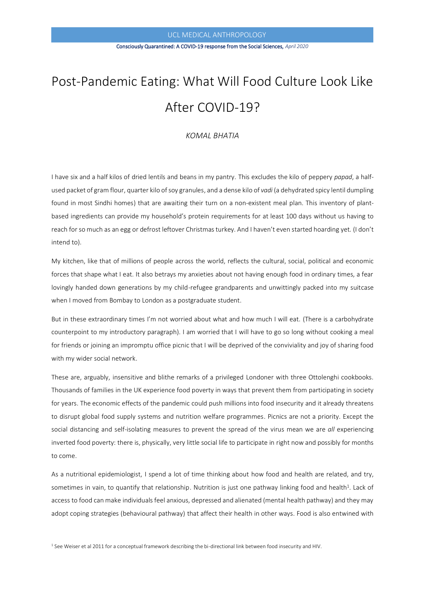# UCL MEDICAL ANTHROPOLOGY

# Consciously Quarantined: A COVID-19 response from the Social Sciences, *April 2020*

# Post-Pandemic Eating: What Will Food Culture Look Like After COVID-19?

# *KOMAL BHATIA*

I have six and a half kilos of dried lentils and beans in my pantry. This excludes the kilo of peppery *papad*, a halfused packet of gram flour, quarter kilo of soy granules, and a dense kilo of *vadi* (a dehydrated spicy lentil dumpling found in most Sindhi homes) that are awaiting their turn on a non-existent meal plan. This inventory of plantbased ingredients can provide my household's protein requirements for at least 100 days without us having to reach for so much as an egg or defrost leftover Christmas turkey. And I haven't even started hoarding yet. (I don't intend to).

My kitchen, like that of millions of people across the world, reflects the cultural, social, political and economic forces that shape what I eat. It also betrays my anxieties about not having enough food in ordinary times, a fear lovingly handed down generations by my child-refugee grandparents and unwittingly packed into my suitcase when I moved from Bombay to London as a postgraduate student.

But in these extraordinary times I'm not worried about what and how much I will eat. (There is a carbohydrate counterpoint to my introductory paragraph). I am worried that I will have to go so long without cooking a meal for friends or joining an impromptu office picnic that I will be deprived of the conviviality and joy of sharing food with my wider social network.

These are, arguably, insensitive and blithe remarks of a privileged Londoner with three Ottolenghi cookbooks. Thousands of families in the UK experience food poverty in ways that prevent them from participating in society for years. The economic effects of the pandemic could push millions into food insecurity and it already threatens to disrupt global food supply systems and nutrition welfare programmes. Picnics are not a priority. Except the social distancing and self-isolating measures to prevent the spread of the virus mean we are *all* experiencing inverted food poverty: there is, physically, very little social life to participate in right now and possibly for months to come.

As a nutritional epidemiologist, I spend a lot of time thinking about how food and health are related, and try, sometimes in vain, to quantify that relationship. Nutrition is just one pathway linking food and health<sup>1</sup>. Lack of access to food can make individuals feel anxious, depressed and alienated (mental health pathway) and they may adopt coping strategies (behavioural pathway) that affect their health in other ways. Food is also entwined with

<sup>1</sup> See Weiser et al 2011 for a conceptual framework describing the bi-directional link between food insecurity and HIV.